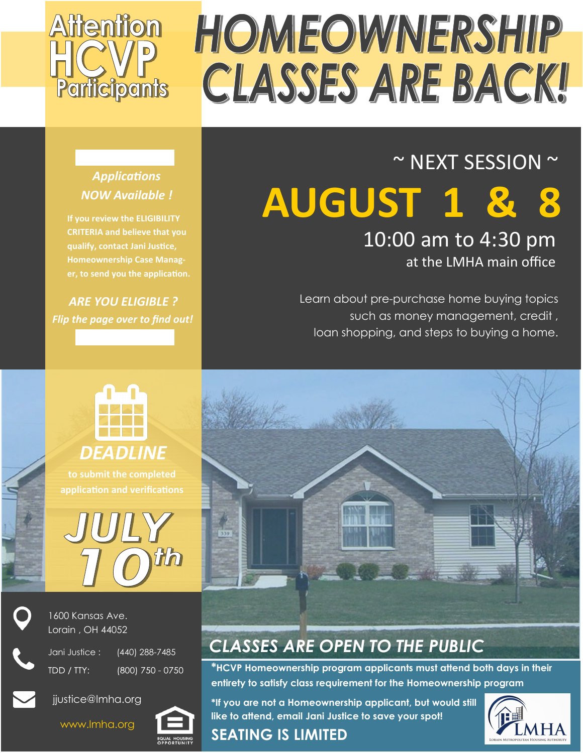

### ~ NEXT SESSION ~ **AUGUST 1 &** 10:00 am to 4:30 pm

at the LMHA main office

Learn about pre-purchase home buying topics such as money management, credit , loan shopping, and steps to buying a home.



**If you review the ELIGIBILITY CRITERIA and believe that you qualify, contact Jani Justice, Homeownership Case Manager, to send you the application.** 

*ARE YOU ELIGIBLE ? Flip the page over to find out!*



**to submit the completed application and verifications**





1600 Kansas Ave. Lorain , OH 44052

Jani Justice : (440) 288-7485 TDD / TTY:

(800) 750 - 0750





### *CLASSES ARE OPEN TO THE PUBLIC*

**\*HCVP Homeownership program applicants must attend both days in their entirety to satisfy class requirement for the Homeownership program**

**\*If you are not a Homeownership applicant, but would still like to attend, email Jani Justice to save your spot!**

#### **SEATING IS LIMITED**